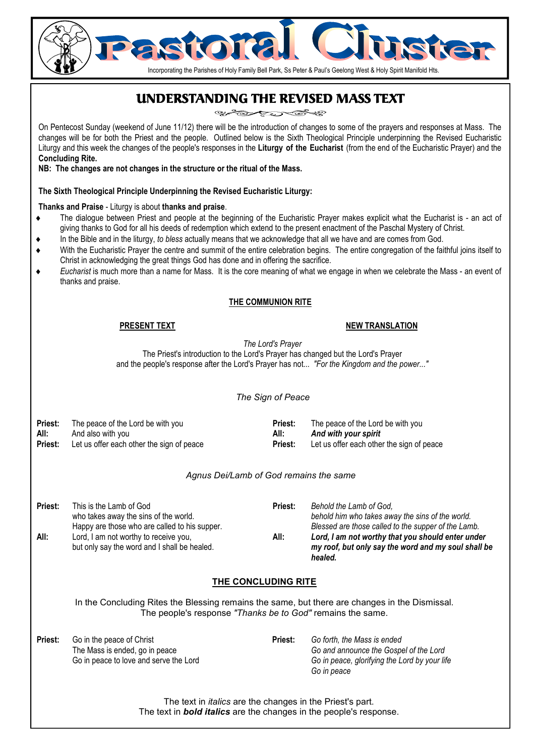

### UNDERSTANDING THE REVISED MASS TEXT

یکی دی کی

On Pentecost Sunday (weekend of June 11/12) there will be the introduction of changes to some of the prayers and responses at Mass. The changes will be for both the Priest and the people. Outlined below is the Sixth Theological Principle underpinning the Revised Eucharistic Liturgy and this week the changes of the people's responses in the **Liturgy of the Eucharist** (from the end of the Eucharistic Prayer) and the **Concluding Rite.** 

**NB: The changes are not changes in the structure or the ritual of the Mass.**

#### **The Sixth Theological Principle Underpinning the Revised Eucharistic Liturgy:**

#### **Thanks and Praise** - Liturgy is about **thanks and praise**.

- ♦ The dialogue between Priest and people at the beginning of the Eucharistic Prayer makes explicit what the Eucharist is an act of giving thanks to God for all his deeds of redemption which extend to the present enactment of the Paschal Mystery of Christ.
- In the Bible and in the liturgy, *to bless* actually means that we acknowledge that all we have and are comes from God.
- With the Eucharistic Praver the centre and summit of the entire celebration begins. The entire congregation of the faithful joins itself to Christ in acknowledging the great things God has done and in offering the sacrifice.
- Eucharist is much more than a name for Mass. It is the core meaning of what we engage in when we celebrate the Mass an event of thanks and praise.

#### **THE COMMUNION RITE**

#### **PRESENT TEXT**

#### **NEW TRANSLATION**

*The Lord's Prayer* 

The Priest's introduction to the Lord's Prayer has changed but the Lord's Prayer and the people's response after the Lord's Prayer has not... *"For the Kingdom and the power..."* 

#### *The Sign of Peace*

| Priest: | The peace of the Lord be with you         | Priest:        | The peace of the Lord be with you         |
|---------|-------------------------------------------|----------------|-------------------------------------------|
| All:    | And also with you                         | All:           | And with your spirit                      |
| Priest: | Let us offer each other the sign of peace | <b>Priest:</b> | Let us offer each other the sign of peace |

#### *Agnus Dei/Lamb of God remains the same*

| Priest:<br>All: | This is the Lamb of God<br>who takes away the sins of the world.<br>Happy are those who are called to his supper.<br>Lord, I am not worthy to receive you,<br>but only say the word and I shall be healed. | Priest:<br>All: | Behold the Lamb of God,<br>behold him who takes away the sins of the world.<br>Blessed are those called to the supper of the Lamb.<br>Lord, I am not worthy that you should enter under<br>my roof, but only say the word and my soul shall be<br>healed. |
|-----------------|------------------------------------------------------------------------------------------------------------------------------------------------------------------------------------------------------------|-----------------|-----------------------------------------------------------------------------------------------------------------------------------------------------------------------------------------------------------------------------------------------------------|
|-----------------|------------------------------------------------------------------------------------------------------------------------------------------------------------------------------------------------------------|-----------------|-----------------------------------------------------------------------------------------------------------------------------------------------------------------------------------------------------------------------------------------------------------|

#### **THE CONCLUDING RITE**

In the Concluding Rites the Blessing remains the same, but there are changes in the Dismissal. The people's response *"Thanks be to God"* remains the same.

| Priest: | Go in the peace of Christ              | <b>Priest:</b> | Go forth, the Mass is ended                   |
|---------|----------------------------------------|----------------|-----------------------------------------------|
|         | The Mass is ended, go in peace         |                | Go and announce the Gospel of the Lord        |
|         | Go in peace to love and serve the Lord |                | Go in peace, glorifying the Lord by your life |
|         |                                        |                | Go in peace                                   |

The text in *italics* are the changes in the Priest's part. The text in *bold italics* are the changes in the people's response.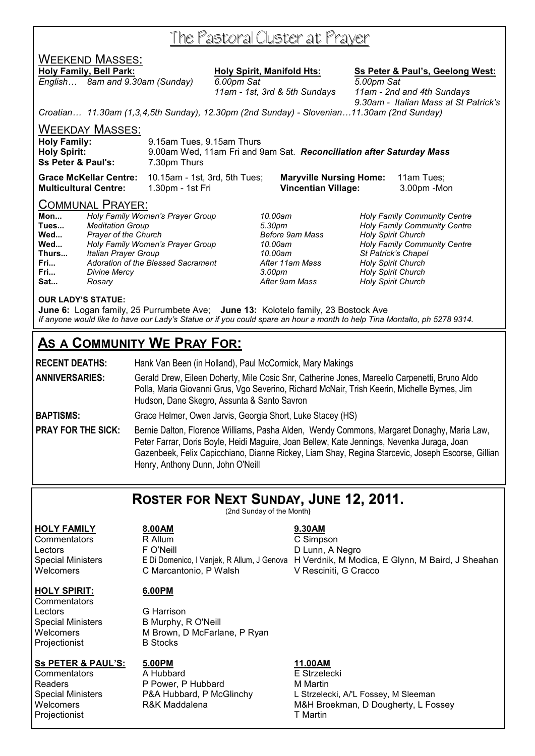## The Pastoral Cluster at Prayer

### WEEKEND MASSES:

*English… 8am and 9.30am (Sunday) 6.00pm Sat 5.00pm Sat* 

**Holy Family, Bell Park: Holy Spirit, Manifold Hts: Ss Peter & Paul's, Geelong West:**

 *11am - 1st, 3rd & 5th Sundays 11am - 2nd and 4th Sundays 9.30am - Italian Mass at St Patrick's* 

*Croatian… 11.30am (1,3,4,5th Sunday), 12.30pm (2nd Sunday) - Slovenian…11.30am (2nd Sunday)* 

WEEKDAY MASSES:

| <b>Holy Family:</b>           | 9.15am Tues, 9.15am Thurs                                            |
|-------------------------------|----------------------------------------------------------------------|
| <b>Holy Spirit:</b>           | 9.00am Wed, 11am Fri and 9am Sat. Reconciliation after Saturday Mass |
| <b>Ss Peter &amp; Paul's:</b> | 7.30pm Thurs                                                         |
|                               |                                                                      |

**Grace McKellar Centre:** 10.15am - 1st, 3rd, 5th Tues; **Maryville Nursing Home:** 11am Tues; **Multicultural Centre:** 1.30pm - 1st Fri **Vincentian Village:** 3.00pm -Mon

#### COMMUNAL PRAYER:

| Mon   | Holy Family Women's Prayer Group   |
|-------|------------------------------------|
| Tues  | <b>Meditation Group</b>            |
| Wed   | Prayer of the Church               |
| Wed   | Holy Family Women's Prayer Group   |
| Thurs | Italian Prayer Group               |
| Fri   | Adoration of the Blessed Sacrament |
| Fri   | Divine Mercy                       |
| Sat   | Rosary                             |

**Fri...** *Adoration of the Blessed Sacrament After 11am Mass Holy Spirit Church*  **Fri...** *Divine Mercy 3.00pm Holy Spirit Church* 

**Mon...** *Holy Family Women's Prayer Group 10.00am Holy Family Community Centre*  **Tues...** *Meditation Group 5.30pm Holy Family Community Centre*  **Holy Spirit Church Wed...** *Holy Family Women's Prayer Group 10.00am Holy Family Community Centre*  **Thurs...** *Italian Prayer Group 10.00am St Patrick's Chapel*  **Holy Spirit Church** 

#### **OUR LADY'S STATUE:**

**June 6:** Logan family, 25 Purrumbete Ave; **June 13:** Kolotelo family, 23 Bostock Ave *If anyone would like to have our Lady's Statue or if you could spare an hour a month to help Tina Montalto, ph 5278 9314.* 

### **AS A COMMUNITY WE PRAY FOR:**

**RECENT DEATHS:** Hank Van Been (in Holland), Paul McCormick, Mary Makings **ANNIVERSARIES:** Gerald Drew, Eileen Doherty, Mile Cosic Snr, Catherine Jones, Mareello Carpenetti, Bruno Aldo Polla, Maria Giovanni Grus, Vgo Severino, Richard McNair, Trish Keerin, Michelle Byrnes, Jim Hudson, Dane Skegro, Assunta & Santo Savron

**BAPTISMS:** Grace Helmer, Owen Jarvis, Georgia Short, Luke Stacey (HS)

**PRAY FOR THE SICK:** Bernie Dalton, Florence Williams, Pasha Alden, Wendy Commons, Margaret Donaghy, Maria Law, Peter Farrar, Doris Boyle, Heidi Maguire, Joan Bellew, Kate Jennings, Nevenka Juraga, Joan Gazenbeek, Felix Capicchiano, Dianne Rickey, Liam Shay, Regina Starcevic, Joseph Escorse, Gillian Henry, Anthony Dunn, John O'Neill

### **ROSTER FOR NEXT SUNDAY, JUNE 12, 2011.**

(2nd Sunday of the Month**)** 

#### **HOLY FAMILY 8.00AM 9.30AM**

Commentators R Allum C Simpson Lectors **F** O'Neill **CONECAL EXAMPLE EXAMPLE PO** Lunn, A Negro Special Ministers E Di Domenico, I Vanjek, R Allum, J Genova H Verdnik, M Modica, E Glynn, M Baird, J Sheahan Welcomers **C Marcantonio, P Walsh** V Resciniti, G Cracco

### **HOLY SPIRIT: 6.00PM**

**Commentators** Lectors **G** Harrison Projectionist

Special Ministers B Murphy, R O'Neill Welcomers M Brown, D McFarlane, P Ryan<br>
Projectionist
B Stocks

#### **Ss PETER & PAUL'S: 5.00PM 11.00AM**

**Commentators** A Hubbard **A** A Hubbard **E** Strzelecki Projectionist T Martin

Readers **P Power, P Hubbard** M Martin

Special Ministers **P&A Hubbard, P McGlinchy** L Strzelecki, A/'L Fossey, M Sleeman<br>
Welcomers **R&K Maddalena** M&H Broekman, D Dougherty, L Fo Welcomers **R&K Maddalena** M&H Broekman, D Dougherty, L Fossey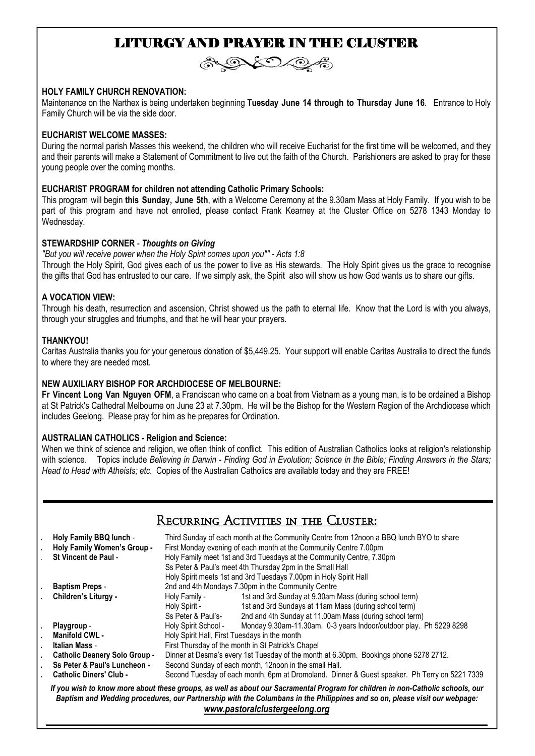### LITURGY AND PRAYER IN THE CLUSTER



#### **HOLY FAMILY CHURCH RENOVATION:**

Maintenance on the Narthex is being undertaken beginning **Tuesday June 14 through to Thursday June 16**. Entrance to Holy Family Church will be via the side door.

#### **EUCHARIST WELCOME MASSES:**

During the normal parish Masses this weekend, the children who will receive Eucharist for the first time will be welcomed, and they and their parents will make a Statement of Commitment to live out the faith of the Church. Parishioners are asked to pray for these young people over the coming months.

#### **EUCHARIST PROGRAM for children not attending Catholic Primary Schools:**

This program will begin **this Sunday, June 5th**, with a Welcome Ceremony at the 9.30am Mass at Holy Family. If you wish to be part of this program and have not enrolled, please contact Frank Kearney at the Cluster Office on 5278 1343 Monday to Wednesday.

#### **STEWARDSHIP CORNER** - *Thoughts on Giving*

*"But you will receive power when the Holy Spirit comes upon you"" - Acts 1:8*  Through the Holy Spirit, God gives each of us the power to live as His stewards. The Holy Spirit gives us the grace to recognise the gifts that God has entrusted to our care. If we simply ask, the Spirit also will show us how God wants us to share our gifts.

#### **A VOCATION VIEW:**

Through his death, resurrection and ascension, Christ showed us the path to eternal life. Know that the Lord is with you always, through your struggles and triumphs, and that he will hear your prayers.

#### **THANKYOU!**

Caritas Australia thanks you for your generous donation of \$5,449.25. Your support will enable Caritas Australia to direct the funds to where they are needed most.

#### **NEW AUXILIARY BISHOP FOR ARCHDIOCESE OF MELBOURNE:**

**Fr Vincent Long Van Nguyen OFM**, a Franciscan who came on a boat from Vietnam as a young man, is to be ordained a Bishop at St Patrick's Cathedral Melbourne on June 23 at 7.30pm. He will be the Bishop for the Western Region of the Archdiocese which includes Geelong. Please pray for him as he prepares for Ordination.

#### **AUSTRALIAN CATHOLICS - Religion and Science:**

When we think of science and religion, we often think of conflict. This edition of Australian Catholics looks at religion's relationship with science. Topics include *Believing in Darwin - Finding God in Evolution; Science in the Bible; Finding Answers in the Stars; Head to Head with Atheists; etc.* Copies of the Australian Catholics are available today and they are FREE!

### Recurring Activities in the Cluster:

|                                                                                                                                                                                                                                                                                                 | Holy Family BBQ lunch -<br>Holy Family Women's Group -<br><b>St Vincent de Paul -</b> | Third Sunday of each month at the Community Centre from 12noon a BBQ lunch BYO to share<br>First Monday evening of each month at the Community Centre 7.00pm<br>Holy Family meet 1st and 3rd Tuesdays at the Community Centre, 7.30pm<br>Ss Peter & Paul's meet 4th Thursday 2pm in the Small Hall<br>Holy Spirit meets 1st and 3rd Tuesdays 7.00pm in Holy Spirit Hall |                                                                    |  |
|-------------------------------------------------------------------------------------------------------------------------------------------------------------------------------------------------------------------------------------------------------------------------------------------------|---------------------------------------------------------------------------------------|-------------------------------------------------------------------------------------------------------------------------------------------------------------------------------------------------------------------------------------------------------------------------------------------------------------------------------------------------------------------------|--------------------------------------------------------------------|--|
|                                                                                                                                                                                                                                                                                                 | <b>Baptism Preps -</b>                                                                | 2nd and 4th Mondays 7.30pm in the Community Centre                                                                                                                                                                                                                                                                                                                      |                                                                    |  |
|                                                                                                                                                                                                                                                                                                 | Children's Liturgy -                                                                  | Holy Family -                                                                                                                                                                                                                                                                                                                                                           | 1st and 3rd Sunday at 9.30am Mass (during school term)             |  |
|                                                                                                                                                                                                                                                                                                 |                                                                                       | Holy Spirit -                                                                                                                                                                                                                                                                                                                                                           | 1st and 3rd Sundays at 11am Mass (during school term)              |  |
|                                                                                                                                                                                                                                                                                                 |                                                                                       | Ss Peter & Paul's-                                                                                                                                                                                                                                                                                                                                                      | 2nd and 4th Sunday at 11.00am Mass (during school term)            |  |
|                                                                                                                                                                                                                                                                                                 | Playgroup -                                                                           | Holy Spirit School -                                                                                                                                                                                                                                                                                                                                                    | Monday 9.30am-11.30am. 0-3 years Indoor/outdoor play. Ph 5229 8298 |  |
|                                                                                                                                                                                                                                                                                                 | Manifold CWL -                                                                        | Holy Spirit Hall, First Tuesdays in the month                                                                                                                                                                                                                                                                                                                           |                                                                    |  |
|                                                                                                                                                                                                                                                                                                 | Italian Mass -                                                                        | First Thursday of the month in St Patrick's Chapel                                                                                                                                                                                                                                                                                                                      |                                                                    |  |
|                                                                                                                                                                                                                                                                                                 | <b>Catholic Deanery Solo Group -</b>                                                  | Dinner at Desma's every 1st Tuesday of the month at 6.30pm. Bookings phone 5278 2712.                                                                                                                                                                                                                                                                                   |                                                                    |  |
|                                                                                                                                                                                                                                                                                                 | Ss Peter & Paul's Luncheon -                                                          | Second Sunday of each month, 12noon in the small Hall.                                                                                                                                                                                                                                                                                                                  |                                                                    |  |
|                                                                                                                                                                                                                                                                                                 | <b>Catholic Diners' Club -</b>                                                        | Second Tuesday of each month, 6pm at Dromoland. Dinner & Guest speaker. Ph Terry on 5221 7339                                                                                                                                                                                                                                                                           |                                                                    |  |
| If you wish to know more about these groups, as well as about our Sacramental Program for children in non-Catholic schools, our<br>Baptism and Wedding procedures, our Partnership with the Columbans in the Philippines and so on, please visit our webpage:<br>www.pastoralclustergeelong.org |                                                                                       |                                                                                                                                                                                                                                                                                                                                                                         |                                                                    |  |
|                                                                                                                                                                                                                                                                                                 |                                                                                       |                                                                                                                                                                                                                                                                                                                                                                         |                                                                    |  |

*\_\_\_\_\_\_\_\_\_\_\_\_\_\_\_\_\_\_\_\_\_\_\_\_\_\_\_\_\_\_\_\_\_\_\_\_\_\_\_\_\_\_\_\_\_\_\_\_\_\_\_\_\_\_\_\_\_\_\_\_\_\_\_\_\_\_\_\_\_\_\_\_\_\_\_\_\_\_\_\_\_\_\_\_\_\_\_\_\_\_\_\_\_\_\_\_\_\_*